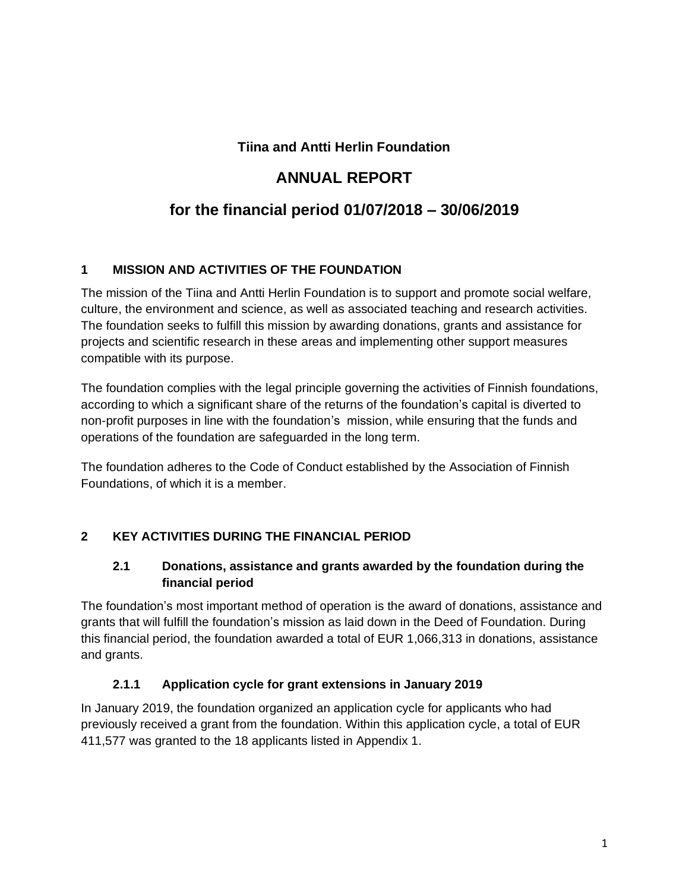## **Tiina and Antti Herlin Foundation**

# **ANNUAL REPORT**

# **for the financial period 01/07/2018 – 30/06/2019**

### **1 MISSION AND ACTIVITIES OF THE FOUNDATION**

The mission of the Tiina and Antti Herlin Foundation is to support and promote social welfare, culture, the environment and science, as well as associated teaching and research activities. The foundation seeks to fulfill this mission by awarding donations, grants and assistance for projects and scientific research in these areas and implementing other support measures compatible with its purpose.

The foundation complies with the legal principle governing the activities of Finnish foundations, according to which a significant share of the returns of the foundation's capital is diverted to non-profit purposes in line with the foundation's mission, while ensuring that the funds and operations of the foundation are safeguarded in the long term.

The foundation adheres to the Code of Conduct established by the Association of Finnish Foundations, of which it is a member.

## **2 KEY ACTIVITIES DURING THE FINANCIAL PERIOD**

### **2.1 Donations, assistance and grants awarded by the foundation during the financial period**

The foundation's most important method of operation is the award of donations, assistance and grants that will fulfill the foundation's mission as laid down in the Deed of Foundation. During this financial period, the foundation awarded a total of EUR 1,066,313 in donations, assistance and grants.

### **2.1.1 Application cycle for grant extensions in January 2019**

In January 2019, the foundation organized an application cycle for applicants who had previously received a grant from the foundation. Within this application cycle, a total of EUR 411,577 was granted to the 18 applicants listed in Appendix 1.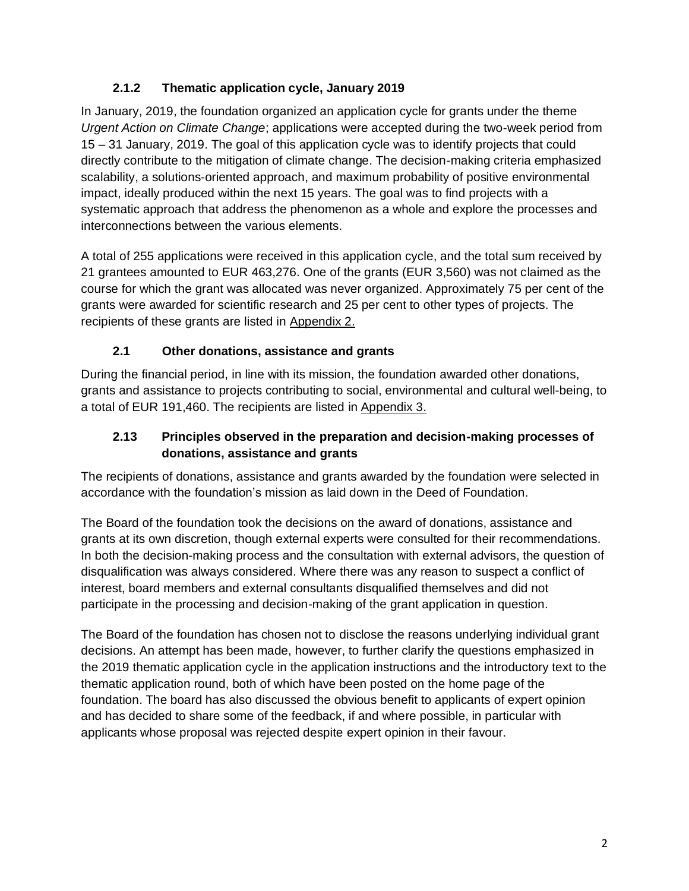## **2.1.2 Thematic application cycle, January 2019**

In January, 2019, the foundation organized an application cycle for grants under the theme *Urgent Action on Climate Change*; applications were accepted during the two-week period from 15 – 31 January, 2019. The goal of this application cycle was to identify projects that could directly contribute to the mitigation of climate change. The decision-making criteria emphasized scalability, a solutions-oriented approach, and maximum probability of positive environmental impact, ideally produced within the next 15 years. The goal was to find projects with a systematic approach that address the phenomenon as a whole and explore the processes and interconnections between the various elements.

A total of 255 applications were received in this application cycle, and the total sum received by 21 grantees amounted to EUR 463,276. One of the grants (EUR 3,560) was not claimed as the course for which the grant was allocated was never organized. Approximately 75 per cent of the grants were awarded for scientific research and 25 per cent to other types of projects. The recipients of these grants are listed in Appendix 2.

## **2.1 Other donations, assistance and grants**

During the financial period, in line with its mission, the foundation awarded other donations, grants and assistance to projects contributing to social, environmental and cultural well-being, to a total of EUR 191,460. The recipients are listed in Appendix 3.

### **2.13 Principles observed in the preparation and decision-making processes of donations, assistance and grants**

The recipients of donations, assistance and grants awarded by the foundation were selected in accordance with the foundation's mission as laid down in the Deed of Foundation.

The Board of the foundation took the decisions on the award of donations, assistance and grants at its own discretion, though external experts were consulted for their recommendations. In both the decision-making process and the consultation with external advisors, the question of disqualification was always considered. Where there was any reason to suspect a conflict of interest, board members and external consultants disqualified themselves and did not participate in the processing and decision-making of the grant application in question.

The Board of the foundation has chosen not to disclose the reasons underlying individual grant decisions. An attempt has been made, however, to further clarify the questions emphasized in the 2019 thematic application cycle in the application instructions and the introductory text to the thematic application round, both of which have been posted on the home page of the foundation. The board has also discussed the obvious benefit to applicants of expert opinion and has decided to share some of the feedback, if and where possible, in particular with applicants whose proposal was rejected despite expert opinion in their favour.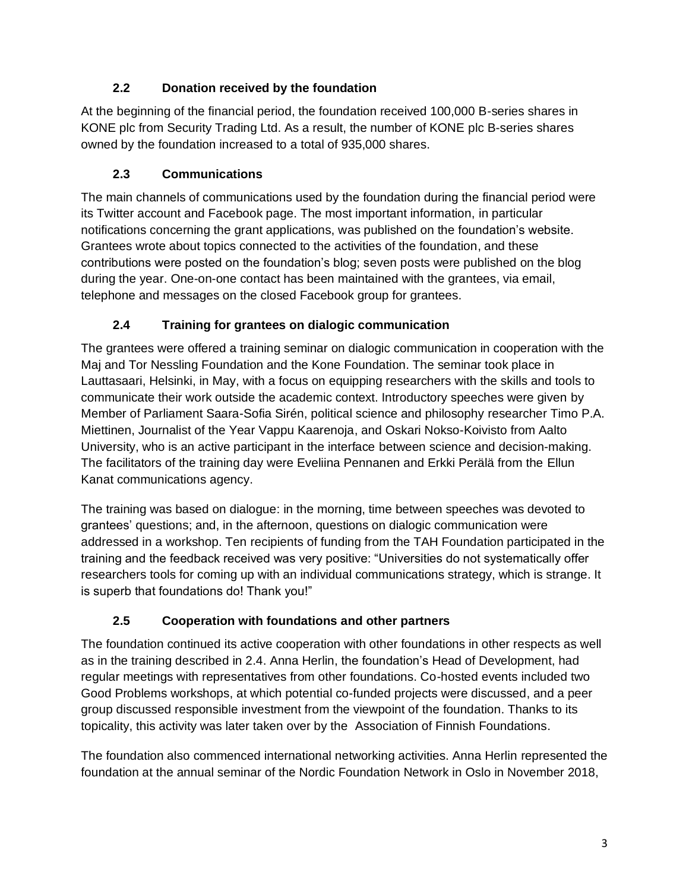## **2.2 Donation received by the foundation**

At the beginning of the financial period, the foundation received 100,000 B-series shares in KONE plc from Security Trading Ltd. As a result, the number of KONE plc B-series shares owned by the foundation increased to a total of 935,000 shares.

# **2.3 Communications**

The main channels of communications used by the foundation during the financial period were its Twitter account and Facebook page. The most important information, in particular notifications concerning the grant applications, was published on the foundation's website. Grantees wrote about topics connected to the activities of the foundation, and these contributions were posted on the foundation's blog; seven posts were published on the blog during the year. One-on-one contact has been maintained with the grantees, via email, telephone and messages on the closed Facebook group for grantees.

# **2.4 Training for grantees on dialogic communication**

The grantees were offered a training seminar on dialogic communication in cooperation with the Maj and Tor Nessling Foundation and the Kone Foundation. The seminar took place in Lauttasaari, Helsinki, in May, with a focus on equipping researchers with the skills and tools to communicate their work outside the academic context. Introductory speeches were given by Member of Parliament Saara-Sofia Sirén, political science and philosophy researcher Timo P.A. Miettinen, Journalist of the Year Vappu Kaarenoja, and Oskari Nokso-Koivisto from Aalto University, who is an active participant in the interface between science and decision-making. The facilitators of the training day were Eveliina Pennanen and Erkki Perälä from the Ellun Kanat communications agency.

The training was based on dialogue: in the morning, time between speeches was devoted to grantees' questions; and, in the afternoon, questions on dialogic communication were addressed in a workshop. Ten recipients of funding from the TAH Foundation participated in the training and the feedback received was very positive: "Universities do not systematically offer researchers tools for coming up with an individual communications strategy, which is strange. It is superb that foundations do! Thank you!"

# **2.5 Cooperation with foundations and other partners**

The foundation continued its active cooperation with other foundations in other respects as well as in the training described in 2.4. Anna Herlin, the foundation's Head of Development, had regular meetings with representatives from other foundations. Co-hosted events included two Good Problems workshops, at which potential co-funded projects were discussed, and a peer group discussed responsible investment from the viewpoint of the foundation. Thanks to its topicality, this activity was later taken over by the Association of Finnish Foundations.

The foundation also commenced international networking activities. Anna Herlin represented the foundation at the annual seminar of the Nordic Foundation Network in Oslo in November 2018,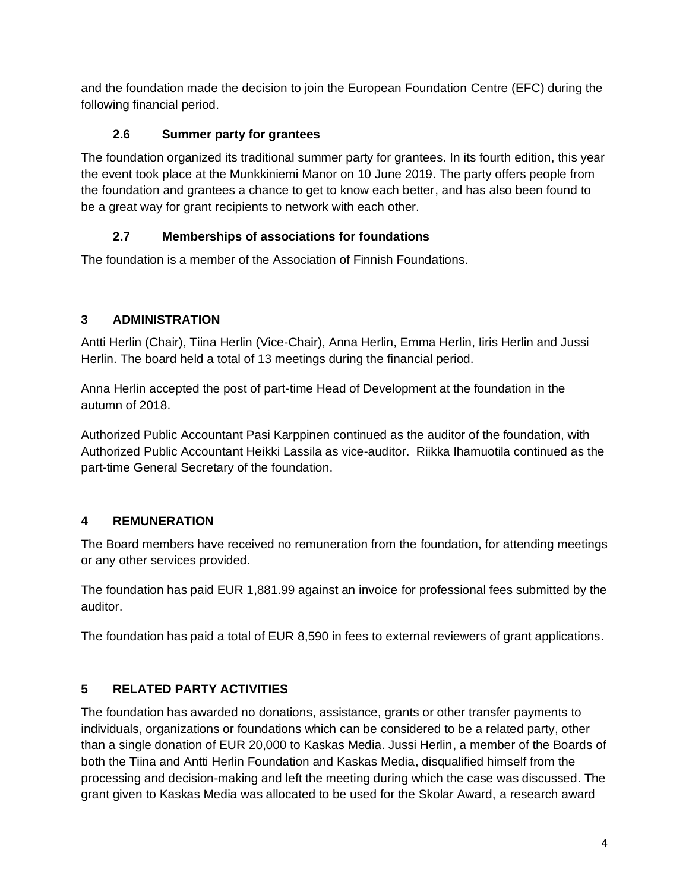and the foundation made the decision to join the European Foundation Centre (EFC) during the following financial period.

## **2.6 Summer party for grantees**

The foundation organized its traditional summer party for grantees. In its fourth edition, this year the event took place at the Munkkiniemi Manor on 10 June 2019. The party offers people from the foundation and grantees a chance to get to know each better, and has also been found to be a great way for grant recipients to network with each other.

## **2.7 Memberships of associations for foundations**

The foundation is a member of the Association of Finnish Foundations.

# **3 ADMINISTRATION**

Antti Herlin (Chair), Tiina Herlin (Vice-Chair), Anna Herlin, Emma Herlin, Iiris Herlin and Jussi Herlin. The board held a total of 13 meetings during the financial period.

Anna Herlin accepted the post of part-time Head of Development at the foundation in the autumn of 2018.

Authorized Public Accountant Pasi Karppinen continued as the auditor of the foundation, with Authorized Public Accountant Heikki Lassila as vice-auditor. Riikka Ihamuotila continued as the part-time General Secretary of the foundation.

# **4 REMUNERATION**

The Board members have received no remuneration from the foundation, for attending meetings or any other services provided.

The foundation has paid EUR 1,881.99 against an invoice for professional fees submitted by the auditor.

The foundation has paid a total of EUR 8,590 in fees to external reviewers of grant applications.

# **5 RELATED PARTY ACTIVITIES**

The foundation has awarded no donations, assistance, grants or other transfer payments to individuals, organizations or foundations which can be considered to be a related party, other than a single donation of EUR 20,000 to Kaskas Media. Jussi Herlin, a member of the Boards of both the Tiina and Antti Herlin Foundation and Kaskas Media, disqualified himself from the processing and decision-making and left the meeting during which the case was discussed. The grant given to Kaskas Media was allocated to be used for the Skolar Award, a research award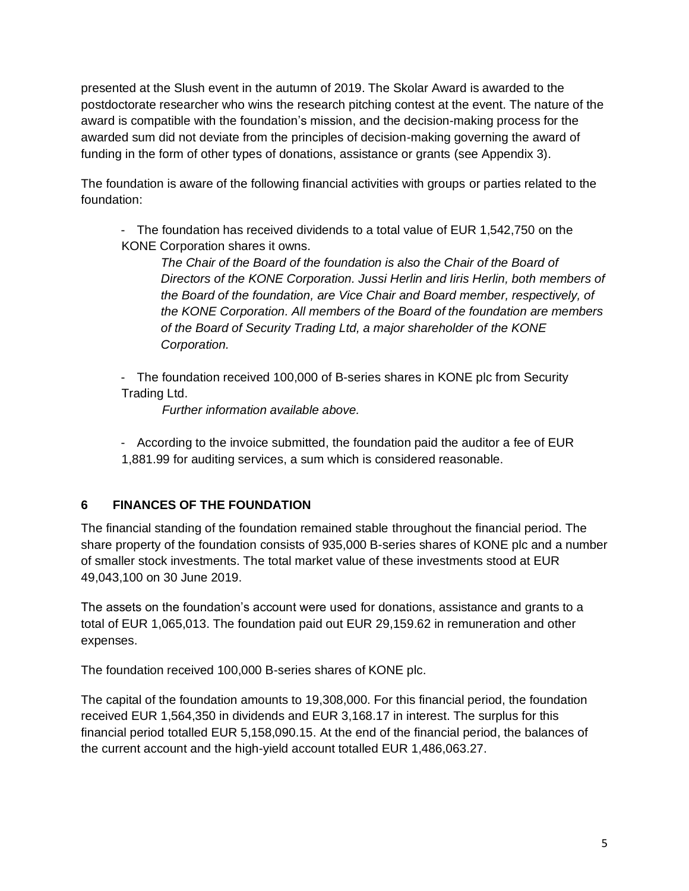presented at the Slush event in the autumn of 2019. The Skolar Award is awarded to the postdoctorate researcher who wins the research pitching contest at the event. The nature of the award is compatible with the foundation's mission, and the decision-making process for the awarded sum did not deviate from the principles of decision-making governing the award of funding in the form of other types of donations, assistance or grants (see Appendix 3).

The foundation is aware of the following financial activities with groups or parties related to the foundation:

- The foundation has received dividends to a total value of EUR 1,542,750 on the KONE Corporation shares it owns.

The Chair of the Board of the foundation is also the Chair of the Board of *Directors of the KONE Corporation. Jussi Herlin and Iiris Herlin, both members of the Board of the foundation, are Vice Chair and Board member, respectively, of the KONE Corporation. All members of the Board of the foundation are members of the Board of Security Trading Ltd, a major shareholder of the KONE Corporation.*

- The foundation received 100,000 of B-series shares in KONE plc from Security Trading Ltd.

*Further information available above.*

- According to the invoice submitted, the foundation paid the auditor a fee of EUR 1,881.99 for auditing services, a sum which is considered reasonable.

## **6 FINANCES OF THE FOUNDATION**

The financial standing of the foundation remained stable throughout the financial period. The share property of the foundation consists of 935,000 B-series shares of KONE plc and a number of smaller stock investments. The total market value of these investments stood at EUR 49,043,100 on 30 June 2019.

The assets on the foundation's account were used for donations, assistance and grants to a total of EUR 1,065,013. The foundation paid out EUR 29,159.62 in remuneration and other expenses.

The foundation received 100,000 B-series shares of KONE plc.

The capital of the foundation amounts to 19,308,000. For this financial period, the foundation received EUR 1,564,350 in dividends and EUR 3,168.17 in interest. The surplus for this financial period totalled EUR 5,158,090.15. At the end of the financial period, the balances of the current account and the high-yield account totalled EUR 1,486,063.27.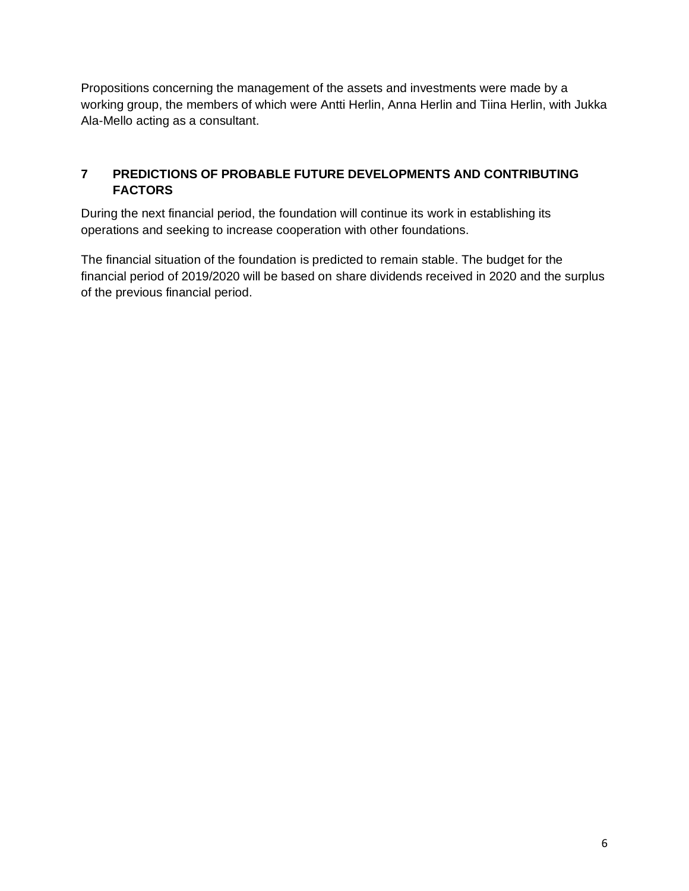Propositions concerning the management of the assets and investments were made by a working group, the members of which were Antti Herlin, Anna Herlin and Tiina Herlin, with Jukka Ala-Mello acting as a consultant.

## **7 PREDICTIONS OF PROBABLE FUTURE DEVELOPMENTS AND CONTRIBUTING FACTORS**

During the next financial period, the foundation will continue its work in establishing its operations and seeking to increase cooperation with other foundations.

The financial situation of the foundation is predicted to remain stable. The budget for the financial period of 2019/2020 will be based on share dividends received in 2020 and the surplus of the previous financial period.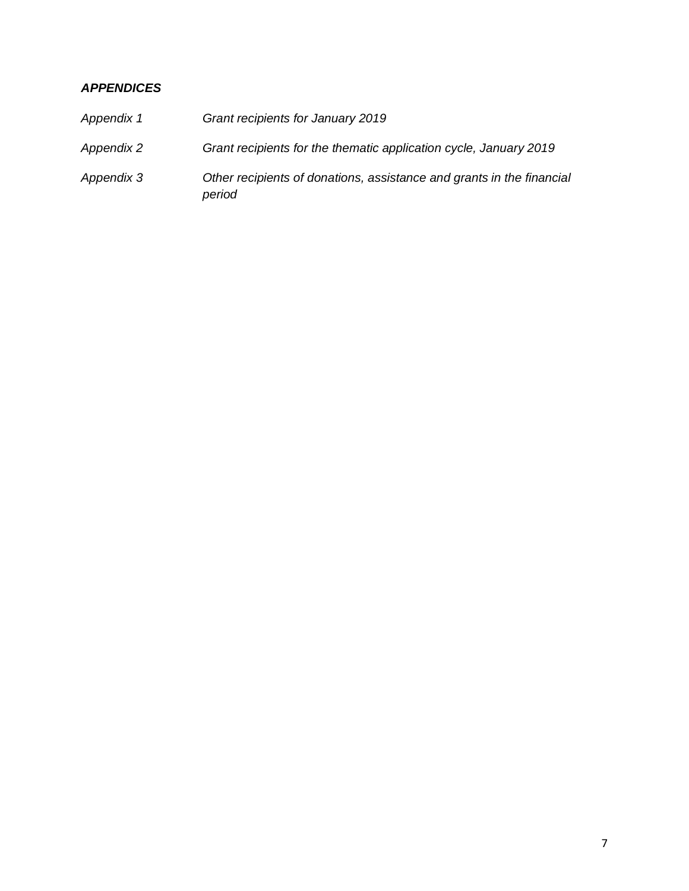### *APPENDICES*

| Appendix 1 | Grant recipients for January 2019                                               |
|------------|---------------------------------------------------------------------------------|
| Appendix 2 | Grant recipients for the thematic application cycle, January 2019               |
| Appendix 3 | Other recipients of donations, assistance and grants in the financial<br>period |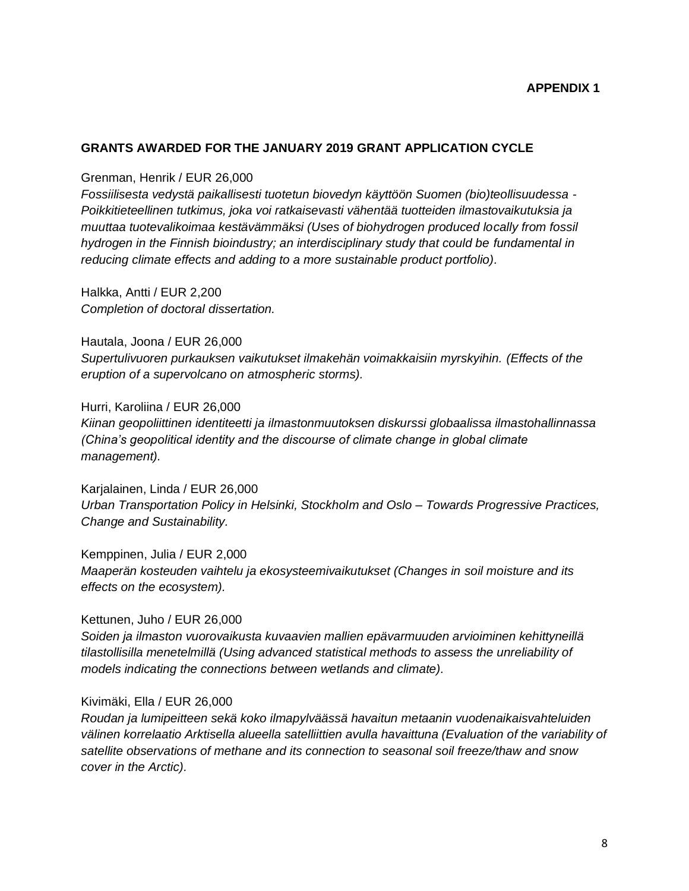#### **APPENDIX 1**

#### **GRANTS AWARDED FOR THE JANUARY 2019 GRANT APPLICATION CYCLE**

#### Grenman, Henrik / EUR 26,000

*Fossiilisesta vedystä paikallisesti tuotetun biovedyn käyttöön Suomen (bio)teollisuudessa - Poikkitieteellinen tutkimus, joka voi ratkaisevasti vähentää tuotteiden ilmastovaikutuksia ja muuttaa tuotevalikoimaa kestävämmäksi (Uses of biohydrogen produced locally from fossil hydrogen in the Finnish bioindustry; an interdisciplinary study that could be fundamental in reducing climate effects and adding to a more sustainable product portfolio).*

Halkka, Antti / EUR 2,200 *Completion of doctoral dissertation.*

Hautala, Joona / EUR 26,000 *Supertulivuoren purkauksen vaikutukset ilmakehän voimakkaisiin myrskyihin. (Effects of the eruption of a supervolcano on atmospheric storms).*

#### Hurri, Karoliina / EUR 26,000

*Kiinan geopoliittinen identiteetti ja ilmastonmuutoksen diskurssi globaalissa ilmastohallinnassa (China's geopolitical identity and the discourse of climate change in global climate management).*

Karjalainen, Linda / EUR 26,000 *Urban Transportation Policy in Helsinki, Stockholm and Oslo – Towards Progressive Practices, Change and Sustainability.*

Kemppinen, Julia / EUR 2,000 *Maaperän kosteuden vaihtelu ja ekosysteemivaikutukset (Changes in soil moisture and its effects on the ecosystem).*

Kettunen, Juho / EUR 26,000

*Soiden ja ilmaston vuorovaikusta kuvaavien mallien epävarmuuden arvioiminen kehittyneillä tilastollisilla menetelmillä (Using advanced statistical methods to assess the unreliability of models indicating the connections between wetlands and climate).*

#### Kivimäki, Ella / EUR 26,000

*Roudan ja lumipeitteen sekä koko ilmapylväässä havaitun metaanin vuodenaikaisvahteluiden välinen korrelaatio Arktisella alueella satelliittien avulla havaittuna (Evaluation of the variability of satellite observations of methane and its connection to seasonal soil freeze/thaw and snow cover in the Arctic).*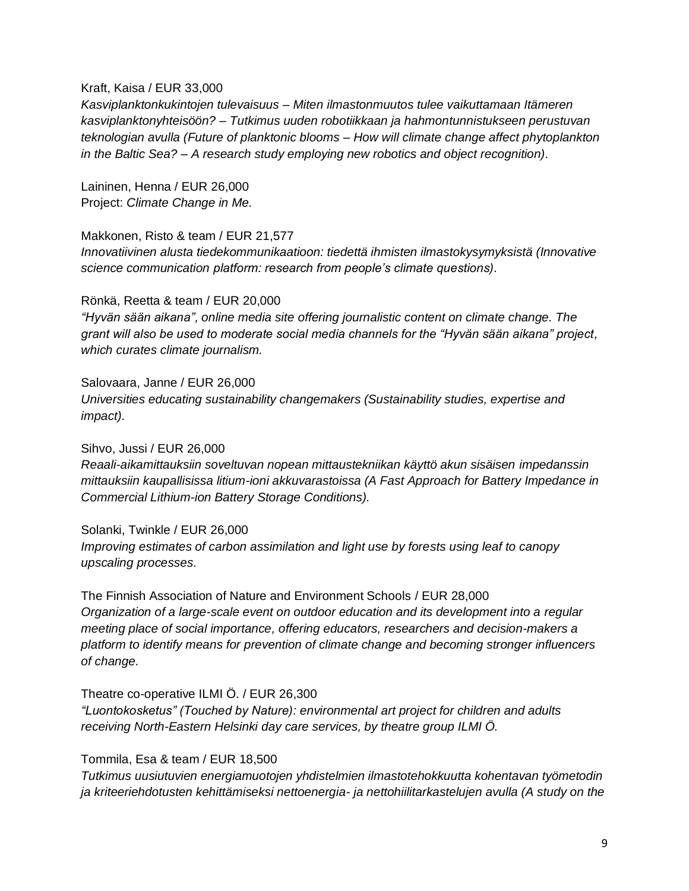#### Kraft, Kaisa / EUR 33,000

*Kasviplanktonkukintojen tulevaisuus – Miten ilmastonmuutos tulee vaikuttamaan Itämeren kasviplanktonyhteisöön? – Tutkimus uuden robotiikkaan ja hahmontunnistukseen perustuvan teknologian avulla (Future of planktonic blooms – How will climate change affect phytoplankton in the Baltic Sea? – A research study employing new robotics and object recognition).*

Laininen, Henna / EUR 26,000 Project: *Climate Change in Me.*

Makkonen, Risto & team / EUR 21,577 *Innovatiivinen alusta tiedekommunikaatioon: tiedettä ihmisten ilmastokysymyksistä (Innovative science communication platform: research from people's climate questions).*

Rönkä, Reetta & team / EUR 20,000

*"Hyvän sään aikana", online media site offering journalistic content on climate change. The grant will also be used to moderate social media channels for the "Hyvän sään aikana" project, which curates climate journalism.* 

Salovaara, Janne / EUR 26,000 *Universities educating sustainability changemakers (Sustainability studies, expertise and impact).*

Sihvo, Jussi / EUR 26,000

*Reaali-aikamittauksiin soveltuvan nopean mittaustekniikan käyttö akun sisäisen impedanssin mittauksiin kaupallisissa litium-ioni akkuvarastoissa (A Fast Approach for Battery Impedance in Commercial Lithium-ion Battery Storage Conditions).*

Solanki, Twinkle / EUR 26,000

*Improving estimates of carbon assimilation and light use by forests using leaf to canopy upscaling processes.*

The Finnish Association of Nature and Environment Schools / EUR 28,000 *Organization of a large-scale event on outdoor education and its development into a regular meeting place of social importance, offering educators, researchers and decision-makers a platform to identify means for prevention of climate change and becoming stronger influencers of change.*

Theatre co-operative ILMI Ö. / EUR 26,300

*"Luontokosketus" (Touched by Nature): environmental art project for children and adults receiving North-Eastern Helsinki day care services, by theatre group ILMI Ö.* 

#### Tommila, Esa & team / EUR 18,500

*Tutkimus uusiutuvien energiamuotojen yhdistelmien ilmastotehokkuutta kohentavan työmetodin ja kriteeriehdotusten kehittämiseksi nettoenergia- ja nettohiilitarkastelujen avulla (A study on the*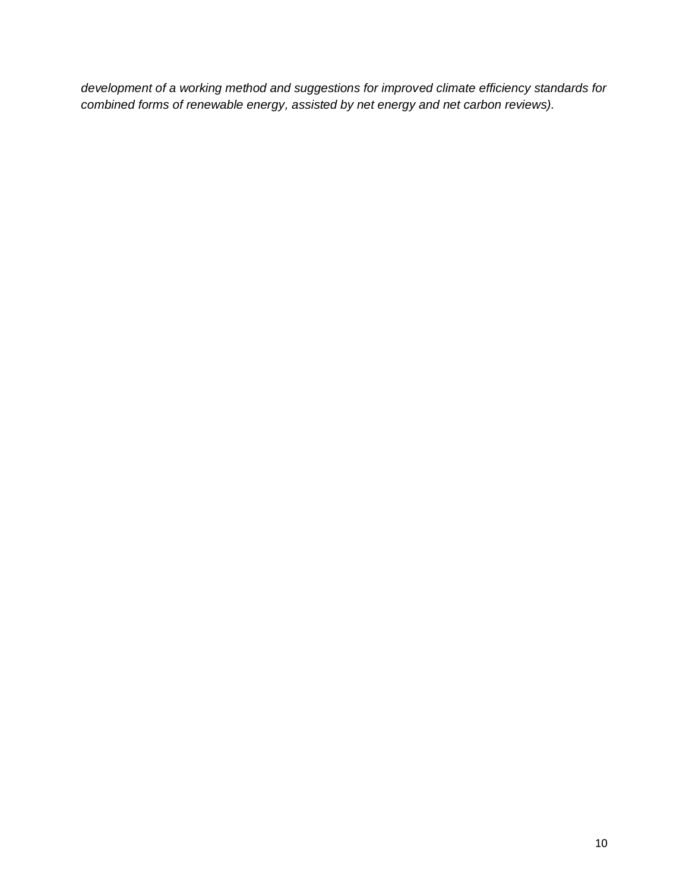*development of a working method and suggestions for improved climate efficiency standards for combined forms of renewable energy, assisted by net energy and net carbon reviews).*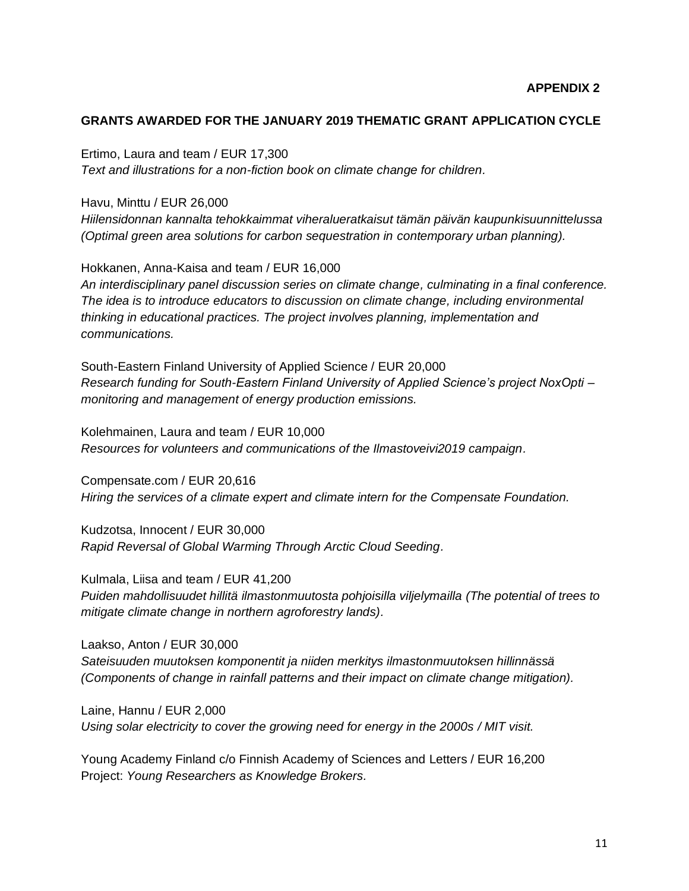#### **GRANTS AWARDED FOR THE JANUARY 2019 THEMATIC GRANT APPLICATION CYCLE**

#### Ertimo, Laura and team / EUR 17,300

*Text and illustrations for a non-fiction book on climate change for children.*

#### Havu, Minttu / EUR 26,000

*Hiilensidonnan kannalta tehokkaimmat viheralueratkaisut tämän päivän kaupunkisuunnittelussa (Optimal green area solutions for carbon sequestration in contemporary urban planning).*

Hokkanen, Anna-Kaisa and team / EUR 16,000

*An interdisciplinary panel discussion series on climate change, culminating in a final conference. The idea is to introduce educators to discussion on climate change, including environmental thinking in educational practices. The project involves planning, implementation and communications.*

South-Eastern Finland University of Applied Science / EUR 20,000 *Research funding for South-Eastern Finland University of Applied Science's project NoxOpti – monitoring and management of energy production emissions.*

Kolehmainen, Laura and team / EUR 10,000 *Resources for volunteers and communications of the Ilmastoveivi2019 campaign.*

Compensate.com / EUR 20,616 *Hiring the services of a climate expert and climate intern for the Compensate Foundation.*

Kudzotsa, Innocent / EUR 30,000 *Rapid Reversal of Global Warming Through Arctic Cloud Seeding.*

Kulmala, Liisa and team / EUR 41,200 *Puiden mahdollisuudet hillitä ilmastonmuutosta pohjoisilla viljelymailla (The potential of trees to mitigate climate change in northern agroforestry lands).*

Laakso, Anton / EUR 30,000 *Sateisuuden muutoksen komponentit ja niiden merkitys ilmastonmuutoksen hillinnässä (Components of change in rainfall patterns and their impact on climate change mitigation).*

Laine, Hannu / EUR 2,000 *Using solar electricity to cover the growing need for energy in the 2000s / MIT visit.*

Young Academy Finland c/o Finnish Academy of Sciences and Letters / EUR 16,200 Project: *Young Researchers as Knowledge Brokers.*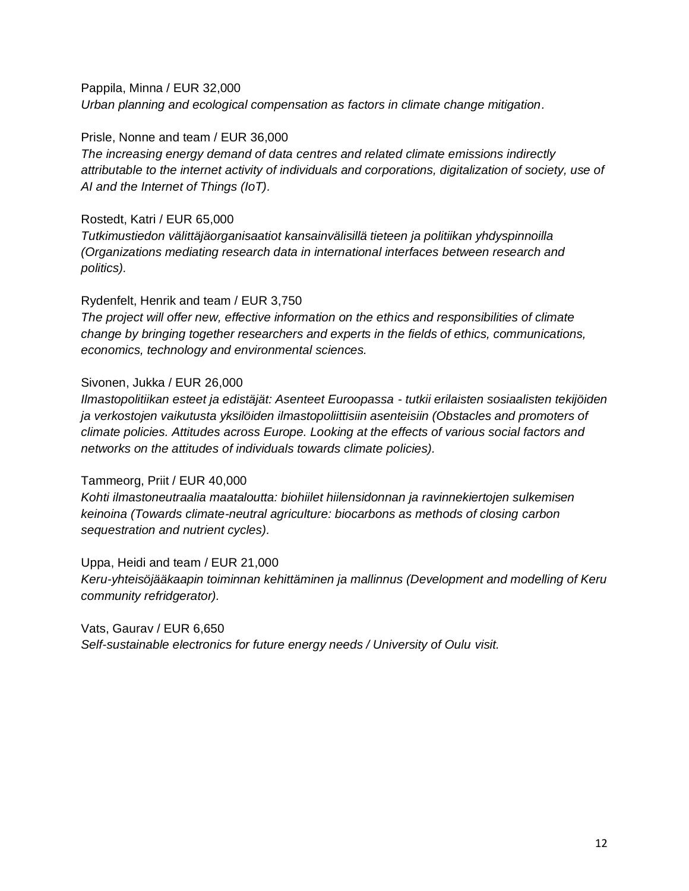Pappila, Minna / EUR 32,000 *Urban planning and ecological compensation as factors in climate change mitigation.*

Prisle, Nonne and team / EUR 36,000

*The increasing energy demand of data centres and related climate emissions indirectly attributable to the internet activity of individuals and corporations, digitalization of society, use of AI and the Internet of Things (IoT).*

Rostedt, Katri / EUR 65,000

*Tutkimustiedon välittäjäorganisaatiot kansainvälisillä tieteen ja politiikan yhdyspinnoilla (Organizations mediating research data in international interfaces between research and politics).*

Rydenfelt, Henrik and team / EUR 3,750

*The project will offer new, effective information on the ethics and responsibilities of climate change by bringing together researchers and experts in the fields of ethics, communications, economics, technology and environmental sciences.*

### Sivonen, Jukka / EUR 26,000

*Ilmastopolitiikan esteet ja edistäjät: Asenteet Euroopassa - tutkii erilaisten sosiaalisten tekijöiden ja verkostojen vaikutusta yksilöiden ilmastopoliittisiin asenteisiin (Obstacles and promoters of climate policies. Attitudes across Europe. Looking at the effects of various social factors and networks on the attitudes of individuals towards climate policies).*

#### Tammeorg, Priit / EUR 40,000

*Kohti ilmastoneutraalia maataloutta: biohiilet hiilensidonnan ja ravinnekiertojen sulkemisen keinoina (Towards climate-neutral agriculture: biocarbons as methods of closing carbon sequestration and nutrient cycles).*

Uppa, Heidi and team / EUR 21,000

*Keru-yhteisöjääkaapin toiminnan kehittäminen ja mallinnus (Development and modelling of Keru community refridgerator).*

Vats, Gaurav / EUR 6,650 *Self-sustainable electronics for future energy needs / University of Oulu visit.*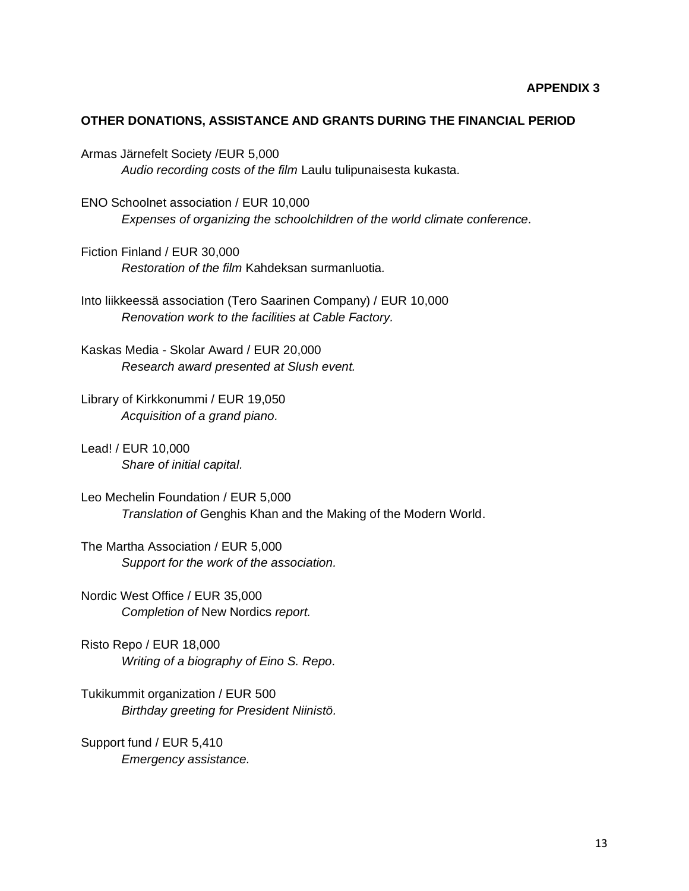#### **OTHER DONATIONS, ASSISTANCE AND GRANTS DURING THE FINANCIAL PERIOD**

Armas Järnefelt Society /EUR 5,000 *Audio recording costs of the film* Laulu tulipunaisesta kukasta*.*

ENO Schoolnet association / EUR 10,000 *Expenses of organizing the schoolchildren of the world climate conference.*

Fiction Finland / EUR 30,000 *Restoration of the film* Kahdeksan surmanluotia*.*

Into liikkeessä association (Tero Saarinen Company) / EUR 10,000 *Renovation work to the facilities at Cable Factory.*

Kaskas Media - Skolar Award / EUR 20,000 *Research award presented at Slush event.*

Library of Kirkkonummi / EUR 19,050 *Acquisition of a grand piano.*

Lead! / EUR 10,000 *Share of initial capital.*

Leo Mechelin Foundation / EUR 5,000 *Translation of* Genghis Khan and the Making of the Modern World.

The Martha Association / EUR 5,000 *Support for the work of the association.*

Nordic West Office / EUR 35,000 *Completion of* New Nordics *report.*

Risto Repo / EUR 18,000 *Writing of a biography of Eino S. Repo.*

Tukikummit organization / EUR 500 *Birthday greeting for President Niinistö.*

Support fund / EUR 5,410 *Emergency assistance.*